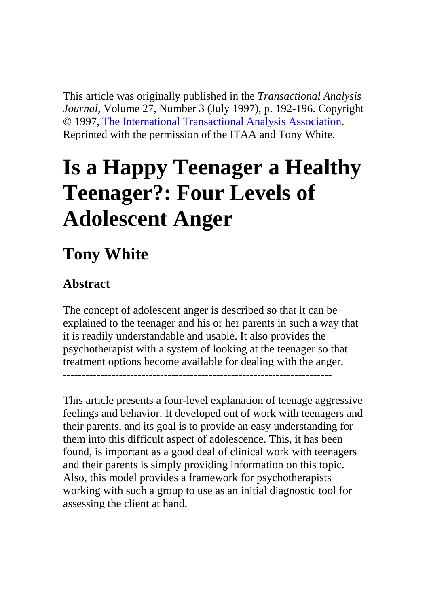This article was originally published in the *Transactional Analysis Journal,* Volume 27, Number 3 (July 1997), p. 192-196. Copyright © 1997, The International Transactional Analysis Association. Reprinted with the permission of the ITAA and Tony White.

# **Is a Happy Teenager a Healthy Teenager?: Four Levels of Adolescent Anger**

# **Tony White**

#### **Abstract**

The concept of adolescent anger is described so that it can be explained to the teenager and his or her parents in such a way that it is readily understandable and usable. It also provides the psychotherapist with a system of looking at the teenager so that treatment options become available for dealing with the anger. ------------------------------------------------------------------------

This article presents a four-level explanation of teenage aggressive feelings and behavior. It developed out of work with teenagers and their parents, and its goal is to provide an easy understanding for them into this difficult aspect of adolescence. This, it has been found, is important as a good deal of clinical work with teenagers and their parents is simply providing information on this topic. Also, this model provides a framework for psychotherapists working with such a group to use as an initial diagnostic tool for assessing the client at hand.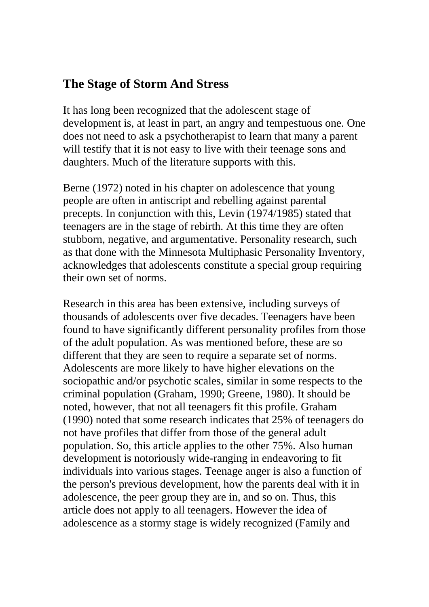#### **The Stage of Storm And Stress**

It has long been recognized that the adolescent stage of development is, at least in part, an angry and tempestuous one. One does not need to ask a psychotherapist to learn that many a parent will testify that it is not easy to live with their teenage sons and daughters. Much of the literature supports with this.

Berne (1972) noted in his chapter on adolescence that young people are often in antiscript and rebelling against parental precepts. In conjunction with this, Levin (1974/1985) stated that teenagers are in the stage of rebirth. At this time they are often stubborn, negative, and argumentative. Personality research, such as that done with the Minnesota Multiphasic Personality Inventory, acknowledges that adolescents constitute a special group requiring their own set of norms.

Research in this area has been extensive, including surveys of thousands of adolescents over five decades. Teenagers have been found to have significantly different personality profiles from those of the adult population. As was mentioned before, these are so different that they are seen to require a separate set of norms. Adolescents are more likely to have higher elevations on the sociopathic and/or psychotic scales, similar in some respects to the criminal population (Graham, 1990; Greene, 1980). It should be noted, however, that not all teenagers fit this profile. Graham (1990) noted that some research indicates that 25% of teenagers do not have profiles that differ from those of the general adult population. So, this article applies to the other 75%. Also human development is notoriously wide-ranging in endeavoring to fit individuals into various stages. Teenage anger is also a function of the person's previous development, how the parents deal with it in adolescence, the peer group they are in, and so on. Thus, this article does not apply to all teenagers. However the idea of adolescence as a stormy stage is widely recognized (Family and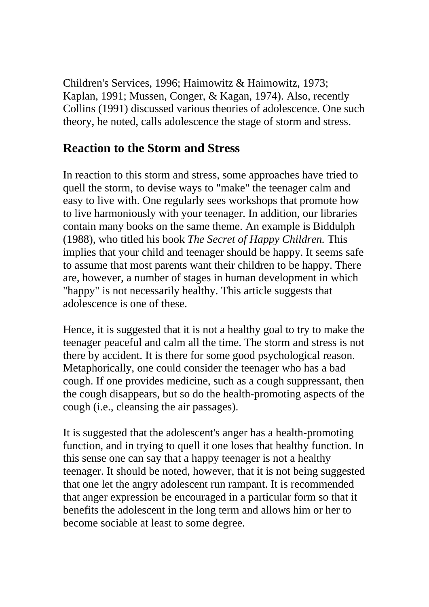Children's Services, 1996; Haimowitz & Haimowitz, 1973; Kaplan, 1991; Mussen, Conger, & Kagan, 1974). Also, recently Collins (1991) discussed various theories of adolescence. One such theory, he noted, calls adolescence the stage of storm and stress.

#### **Reaction to the Storm and Stress**

In reaction to this storm and stress, some approaches have tried to quell the storm, to devise ways to "make" the teenager calm and easy to live with. One regularly sees workshops that promote how to live harmoniously with your teenager. In addition, our libraries contain many books on the same theme. An example is Biddulph (1988), who titled his book *The Secret of Happy Children.* This implies that your child and teenager should be happy. It seems safe to assume that most parents want their children to be happy. There are, however, a number of stages in human development in which "happy" is not necessarily healthy. This article suggests that adolescence is one of these.

Hence, it is suggested that it is not a healthy goal to try to make the teenager peaceful and calm all the time. The storm and stress is not there by accident. It is there for some good psychological reason. Metaphorically, one could consider the teenager who has a bad cough. If one provides medicine, such as a cough suppressant, then the cough disappears, but so do the health-promoting aspects of the cough (i.e., cleansing the air passages).

It is suggested that the adolescent's anger has a health-promoting function, and in trying to quell it one loses that healthy function. In this sense one can say that a happy teenager is not a healthy teenager. It should be noted, however, that it is not being suggested that one let the angry adolescent run rampant. It is recommended that anger expression be encouraged in a particular form so that it benefits the adolescent in the long term and allows him or her to become sociable at least to some degree.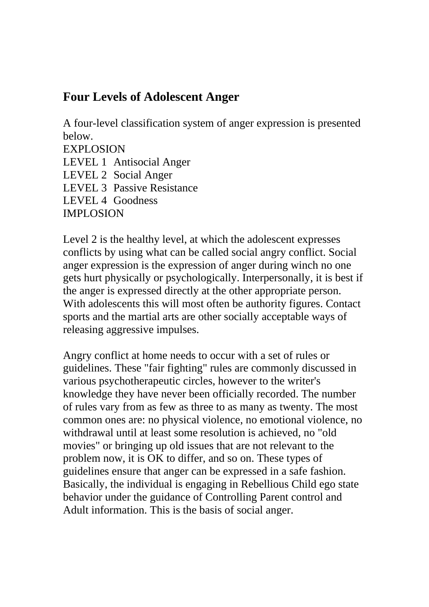#### **Four Levels of Adolescent Anger**

A four-level classification system of anger expression is presented below.

EXPLOSION LEVEL 1 Antisocial Anger LEVEL 2 Social Anger LEVEL 3 Passive Resistance LEVEL 4 Goodness IMPLOSION

Level 2 is the healthy level, at which the adolescent expresses conflicts by using what can be called social angry conflict. Social anger expression is the expression of anger during winch no one gets hurt physically or psychologically. Interpersonally, it is best if the anger is expressed directly at the other appropriate person. With adolescents this will most often be authority figures. Contact sports and the martial arts are other socially acceptable ways of releasing aggressive impulses.

Angry conflict at home needs to occur with a set of rules or guidelines. These "fair fighting" rules are commonly discussed in various psychotherapeutic circles, however to the writer's knowledge they have never been officially recorded. The number of rules vary from as few as three to as many as twenty. The most common ones are: no physical violence, no emotional violence, no withdrawal until at least some resolution is achieved, no "old movies" or bringing up old issues that are not relevant to the problem now, it is OK to differ, and so on. These types of guidelines ensure that anger can be expressed in a safe fashion. Basically, the individual is engaging in Rebellious Child ego state behavior under the guidance of Controlling Parent control and Adult information. This is the basis of social anger.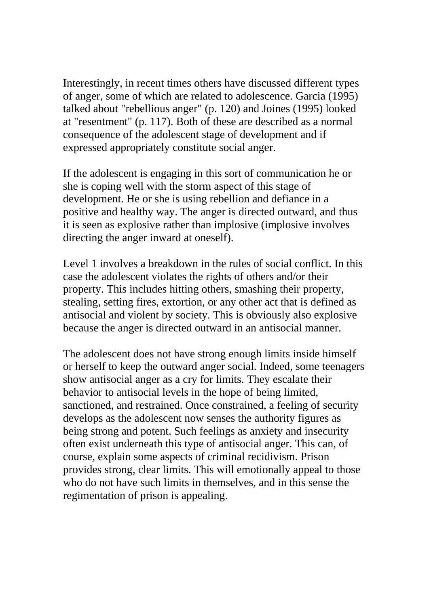Interestingly, in recent times others have discussed different types of anger, some of which are related to adolescence. Garcia (1995) talked about "rebellious anger" (p. 120) and Joines (1995) looked at "resentment" (p. 117). Both of these are described as a normal consequence of the adolescent stage of development and if expressed appropriately constitute social anger.

If the adolescent is engaging in this sort of communication he or she is coping well with the storm aspect of this stage of development. He or she is using rebellion and defiance in a positive and healthy way. The anger is directed outward, and thus it is seen as explosive rather than implosive (implosive involves directing the anger inward at oneself).

Level 1 involves a breakdown in the rules of social conflict. In this case the adolescent violates the rights of others and/or their property. This includes hitting others, smashing their property, stealing, setting fires, extortion, or any other act that is defined as antisocial and violent by society. This is obviously also explosive because the anger is directed outward in an antisocial manner.

The adolescent does not have strong enough limits inside himself or herself to keep the outward anger social. Indeed, some teenagers show antisocial anger as a cry for limits. They escalate their behavior to antisocial levels in the hope of being limited, sanctioned, and restrained. Once constrained, a feeling of security develops as the adolescent now senses the authority figures as being strong and potent. Such feelings as anxiety and insecurity often exist underneath this type of antisocial anger. This can, of course, explain some aspects of criminal recidivism. Prison provides strong, clear limits. This will emotionally appeal to those who do not have such limits in themselves, and in this sense the regimentation of prison is appealing.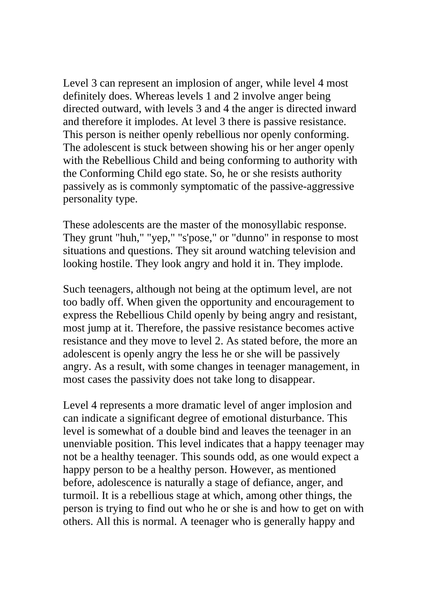Level 3 can represent an implosion of anger, while level 4 most definitely does. Whereas levels 1 and 2 involve anger being directed outward, with levels 3 and 4 the anger is directed inward and therefore it implodes. At level 3 there is passive resistance. This person is neither openly rebellious nor openly conforming. The adolescent is stuck between showing his or her anger openly with the Rebellious Child and being conforming to authority with the Conforming Child ego state. So, he or she resists authority passively as is commonly symptomatic of the passive-aggressive personality type.

These adolescents are the master of the monosyllabic response. They grunt "huh," "yep," "s'pose," or "dunno" in response to most situations and questions. They sit around watching television and looking hostile. They look angry and hold it in. They implode.

Such teenagers, although not being at the optimum level, are not too badly off. When given the opportunity and encouragement to express the Rebellious Child openly by being angry and resistant, most jump at it. Therefore, the passive resistance becomes active resistance and they move to level 2. As stated before, the more an adolescent is openly angry the less he or she will be passively angry. As a result, with some changes in teenager management, in most cases the passivity does not take long to disappear.

Level 4 represents a more dramatic level of anger implosion and can indicate a significant degree of emotional disturbance. This level is somewhat of a double bind and leaves the teenager in an unenviable position. This level indicates that a happy teenager may not be a healthy teenager. This sounds odd, as one would expect a happy person to be a healthy person. However, as mentioned before, adolescence is naturally a stage of defiance, anger, and turmoil. It is a rebellious stage at which, among other things, the person is trying to find out who he or she is and how to get on with others. All this is normal. A teenager who is generally happy and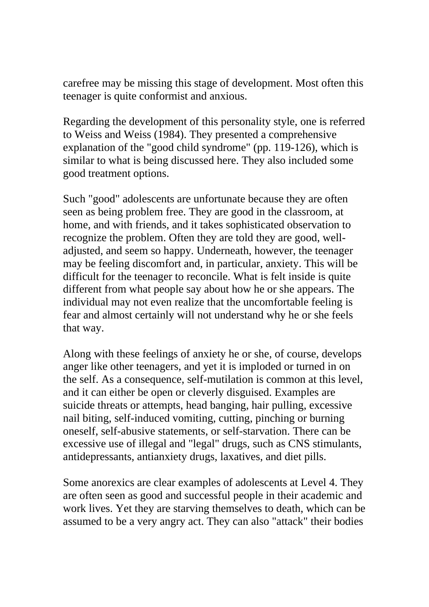carefree may be missing this stage of development. Most often this teenager is quite conformist and anxious.

Regarding the development of this personality style, one is referred to Weiss and Weiss (1984). They presented a comprehensive explanation of the "good child syndrome" (pp. 119-126), which is similar to what is being discussed here. They also included some good treatment options.

Such "good" adolescents are unfortunate because they are often seen as being problem free. They are good in the classroom, at home, and with friends, and it takes sophisticated observation to recognize the problem. Often they are told they are good, welladjusted, and seem so happy. Underneath, however, the teenager may be feeling discomfort and, in particular, anxiety. This will be difficult for the teenager to reconcile. What is felt inside is quite different from what people say about how he or she appears. The individual may not even realize that the uncomfortable feeling is fear and almost certainly will not understand why he or she feels that way.

Along with these feelings of anxiety he or she, of course, develops anger like other teenagers, and yet it is imploded or turned in on the self. As a consequence, self-mutilation is common at this level, and it can either be open or cleverly disguised. Examples are suicide threats or attempts, head banging, hair pulling, excessive nail biting, self-induced vomiting, cutting, pinching or burning oneself, self-abusive statements, or self-starvation. There can be excessive use of illegal and "legal" drugs, such as CNS stimulants, antidepressants, antianxiety drugs, laxatives, and diet pills.

Some anorexics are clear examples of adolescents at Level 4. They are often seen as good and successful people in their academic and work lives. Yet they are starving themselves to death, which can be assumed to be a very angry act. They can also "attack" their bodies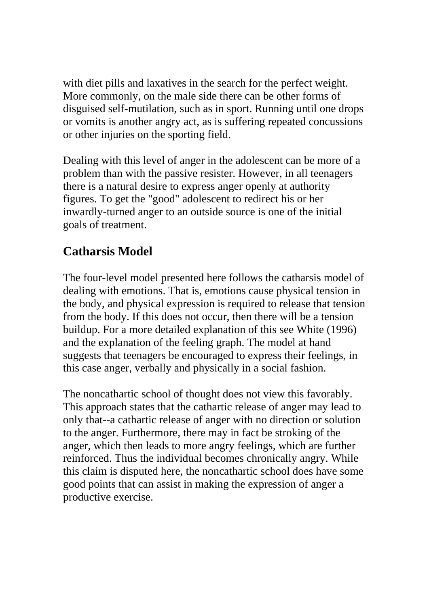with diet pills and laxatives in the search for the perfect weight. More commonly, on the male side there can be other forms of disguised self-mutilation, such as in sport. Running until one drops or vomits is another angry act, as is suffering repeated concussions or other injuries on the sporting field.

Dealing with this level of anger in the adolescent can be more of a problem than with the passive resister. However, in all teenagers there is a natural desire to express anger openly at authority figures. To get the "good" adolescent to redirect his or her inwardly-turned anger to an outside source is one of the initial goals of treatment.

## **Catharsis Model**

The four-level model presented here follows the catharsis model of dealing with emotions. That is, emotions cause physical tension in the body, and physical expression is required to release that tension from the body. If this does not occur, then there will be a tension buildup. For a more detailed explanation of this see White (1996) and the explanation of the feeling graph. The model at hand suggests that teenagers be encouraged to express their feelings, in this case anger, verbally and physically in a social fashion.

The noncathartic school of thought does not view this favorably. This approach states that the cathartic release of anger may lead to only that--a cathartic release of anger with no direction or solution to the anger. Furthermore, there may in fact be stroking of the anger, which then leads to more angry feelings, which are further reinforced. Thus the individual becomes chronically angry. While this claim is disputed here, the noncathartic school does have some good points that can assist in making the expression of anger a productive exercise.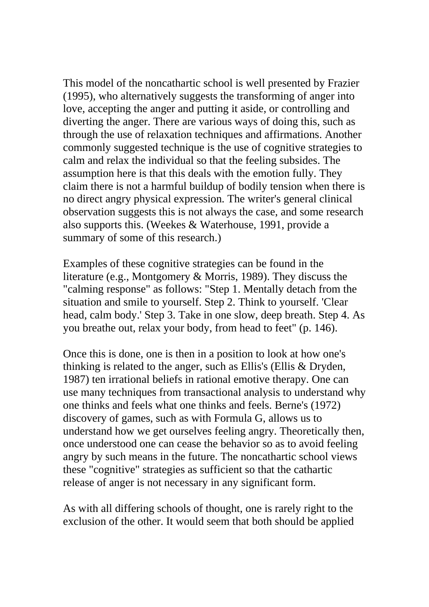This model of the noncathartic school is well presented by Frazier (1995), who alternatively suggests the transforming of anger into love, accepting the anger and putting it aside, or controlling and diverting the anger. There are various ways of doing this, such as through the use of relaxation techniques and affirmations. Another commonly suggested technique is the use of cognitive strategies to calm and relax the individual so that the feeling subsides. The assumption here is that this deals with the emotion fully. They claim there is not a harmful buildup of bodily tension when there is no direct angry physical expression. The writer's general clinical observation suggests this is not always the case, and some research also supports this. (Weekes & Waterhouse, 1991, provide a summary of some of this research.)

Examples of these cognitive strategies can be found in the literature (e.g., Montgomery & Morris, 1989). They discuss the "calming response" as follows: "Step 1. Mentally detach from the situation and smile to yourself. Step 2. Think to yourself. 'Clear head, calm body.' Step 3. Take in one slow, deep breath. Step 4. As you breathe out, relax your body, from head to feet" (p. 146).

Once this is done, one is then in a position to look at how one's thinking is related to the anger, such as Ellis's (Ellis & Dryden, 1987) ten irrational beliefs in rational emotive therapy. One can use many techniques from transactional analysis to understand why one thinks and feels what one thinks and feels. Berne's (1972) discovery of games, such as with Formula G, allows us to understand how we get ourselves feeling angry. Theoretically then, once understood one can cease the behavior so as to avoid feeling angry by such means in the future. The noncathartic school views these "cognitive" strategies as sufficient so that the cathartic release of anger is not necessary in any significant form.

As with all differing schools of thought, one is rarely right to the exclusion of the other. It would seem that both should be applied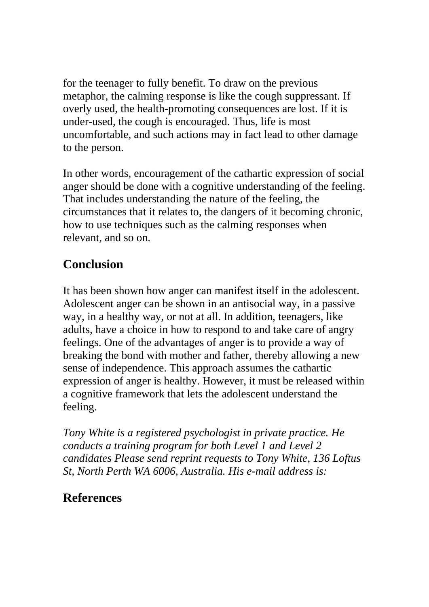for the teenager to fully benefit. To draw on the previous metaphor, the calming response is like the cough suppressant. If overly used, the health-promoting consequences are lost. If it is under-used, the cough is encouraged. Thus, life is most uncomfortable, and such actions may in fact lead to other damage to the person.

In other words, encouragement of the cathartic expression of social anger should be done with a cognitive understanding of the feeling. That includes understanding the nature of the feeling, the circumstances that it relates to, the dangers of it becoming chronic, how to use techniques such as the calming responses when relevant, and so on.

## **Conclusion**

It has been shown how anger can manifest itself in the adolescent. Adolescent anger can be shown in an antisocial way, in a passive way, in a healthy way, or not at all. In addition, teenagers, like adults, have a choice in how to respond to and take care of angry feelings. One of the advantages of anger is to provide a way of breaking the bond with mother and father, thereby allowing a new sense of independence. This approach assumes the cathartic expression of anger is healthy. However, it must be released within a cognitive framework that lets the adolescent understand the feeling.

*Tony White is a registered psychologist in private practice. He conducts a training program for both Level 1 and Level 2 candidates Please send reprint requests to Tony White, 136 Loftus St, North Perth WA 6006, Australia. His e-mail address is:*

#### **References**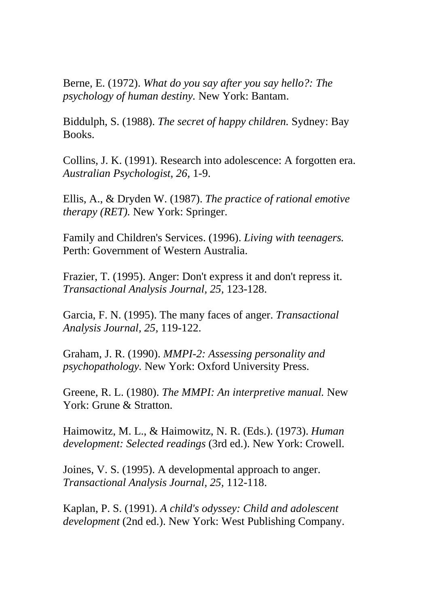Berne, E. (1972). *What do you say after you say hello?: The psychology of human destiny.* New York: Bantam.

Biddulph, S. (1988). *The secret of happy children.* Sydney: Bay Books.

Collins, J. K. (1991). Research into adolescence: A forgotten era. *Australian Psychologist*, *26,* 1-9.

Ellis, A., & Dryden W. (1987). *The practice of rational emotive therapy (RET).* New York: Springer.

Family and Children's Services. (1996). *Living with teenagers.* Perth: Government of Western Australia.

Frazier, T. (1995). Anger: Don't express it and don't repress it. *Transactional Analysis Journal, 25,* 123-128.

Garcia, F. N. (1995). The many faces of anger. *Transactional Analysis Journal, 25,* 119-122.

Graham, J. R. (1990). *MMPI-2: Assessing personality and psychopathology.* New York: Oxford University Press.

Greene, R. L. (1980). *The MMPI: An interpretive manual.* New York: Grune & Stratton.

Haimowitz, M. L., & Haimowitz, N. R. (Eds.). (1973). *Human development: Selected readings* (3rd ed.). New York: Crowell.

Joines, V. S. (1995). A developmental approach to anger. *Transactional Analysis Journal, 25,* 112-118.

Kaplan, P. S. (1991). *A child's odyssey: Child and adolescent development* (2nd ed.). New York: West Publishing Company.